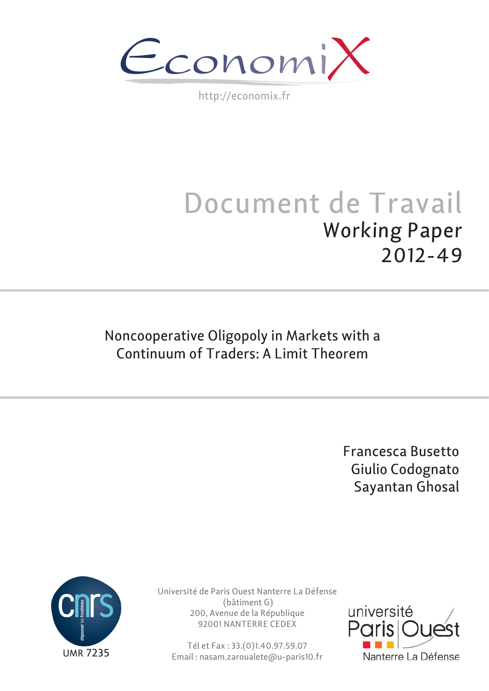$\epsilon$ conomi)

http://economix.fr

# Document de Travail Working Paper 2012-49

# Noncooperative Oligopoly in Markets with a Continuum of Traders: A Limit Theorem

Francesca Busetto Giulio Codognato Sayantan Ghosal



Université de Paris Ouest Nanterre La Défense (bâtiment G) 200, Avenue de la République 92001 NANTERRE CEDEX

Tél et Fax : 33.(0)1.40.97.59.07 Email : nasam.zaroualete@u-paris10.fr

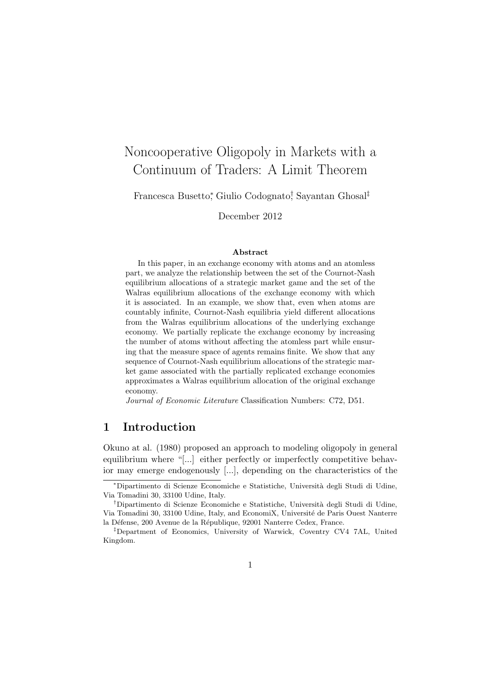## Noncooperative Oligopoly in Markets with a Continuum of Traders: A Limit Theorem

Francesca Busetto<sup>∗</sup> , Giulio Codognato† , Sayantan Ghosal‡

December 2012

#### Abstract

In this paper, in an exchange economy with atoms and an atomless part, we analyze the relationship between the set of the Cournot-Nash equilibrium allocations of a strategic market game and the set of the Walras equilibrium allocations of the exchange economy with which it is associated. In an example, we show that, even when atoms are countably infinite, Cournot-Nash equilibria yield different allocations from the Walras equilibrium allocations of the underlying exchange economy. We partially replicate the exchange economy by increasing the number of atoms without affecting the atomless part while ensuring that the measure space of agents remains finite. We show that any sequence of Cournot-Nash equilibrium allocations of the strategic market game associated with the partially replicated exchange economies approximates a Walras equilibrium allocation of the original exchange economy.

Journal of Economic Literature Classification Numbers: C72, D51.

## 1 Introduction

Okuno at al. (1980) proposed an approach to modeling oligopoly in general equilibrium where "[...] either perfectly or imperfectly competitive behavior may emerge endogenously [...], depending on the characteristics of the

<sup>∗</sup>Dipartimento di Scienze Economiche e Statistiche, Universit`a degli Studi di Udine, Via Tomadini 30, 33100 Udine, Italy.

<sup>&</sup>lt;sup>†</sup>Dipartimento di Scienze Economiche e Statistiche, Università degli Studi di Udine, Via Tomadini 30, 33100 Udine, Italy, and EconomiX, Universit´e de Paris Ouest Nanterre la Défense, 200 Avenue de la République, 92001 Nanterre Cedex, France.

<sup>‡</sup>Department of Economics, University of Warwick, Coventry CV4 7AL, United Kingdom.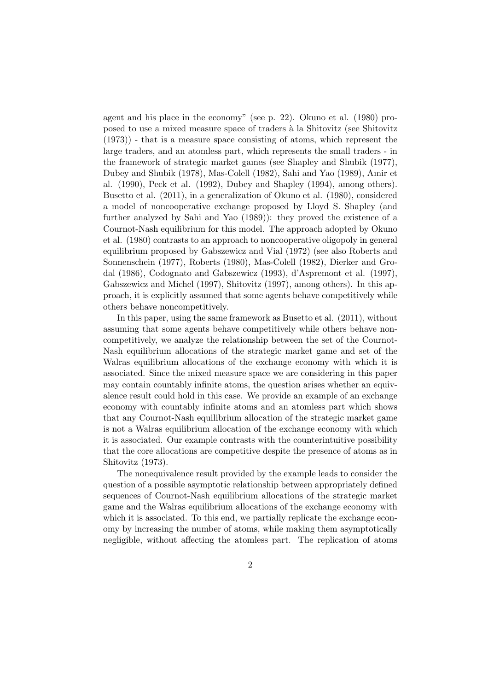agent and his place in the economy" (see p. 22). Okuno et al. (1980) proposed to use a mixed measure space of traders `a la Shitovitz (see Shitovitz  $(1973)$ ) - that is a measure space consisting of atoms, which represent the large traders, and an atomless part, which represents the small traders - in the framework of strategic market games (see Shapley and Shubik (1977), Dubey and Shubik (1978), Mas-Colell (1982), Sahi and Yao (1989), Amir et al. (1990), Peck et al. (1992), Dubey and Shapley (1994), among others). Busetto et al. (2011), in a generalization of Okuno et al. (1980), considered a model of noncooperative exchange proposed by Lloyd S. Shapley (and further analyzed by Sahi and Yao (1989)): they proved the existence of a Cournot-Nash equilibrium for this model. The approach adopted by Okuno et al. (1980) contrasts to an approach to noncooperative oligopoly in general equilibrium proposed by Gabszewicz and Vial (1972) (see also Roberts and Sonnenschein (1977), Roberts (1980), Mas-Colell (1982), Dierker and Grodal (1986), Codognato and Gabszewicz (1993), d'Aspremont et al. (1997), Gabszewicz and Michel (1997), Shitovitz (1997), among others). In this approach, it is explicitly assumed that some agents behave competitively while others behave noncompetitively.

In this paper, using the same framework as Busetto et al. (2011), without assuming that some agents behave competitively while others behave noncompetitively, we analyze the relationship between the set of the Cournot-Nash equilibrium allocations of the strategic market game and set of the Walras equilibrium allocations of the exchange economy with which it is associated. Since the mixed measure space we are considering in this paper may contain countably infinite atoms, the question arises whether an equivalence result could hold in this case. We provide an example of an exchange economy with countably infinite atoms and an atomless part which shows that any Cournot-Nash equilibrium allocation of the strategic market game is not a Walras equilibrium allocation of the exchange economy with which it is associated. Our example contrasts with the counterintuitive possibility that the core allocations are competitive despite the presence of atoms as in Shitovitz (1973).

The nonequivalence result provided by the example leads to consider the question of a possible asymptotic relationship between appropriately defined sequences of Cournot-Nash equilibrium allocations of the strategic market game and the Walras equilibrium allocations of the exchange economy with which it is associated. To this end, we partially replicate the exchange economy by increasing the number of atoms, while making them asymptotically negligible, without affecting the atomless part. The replication of atoms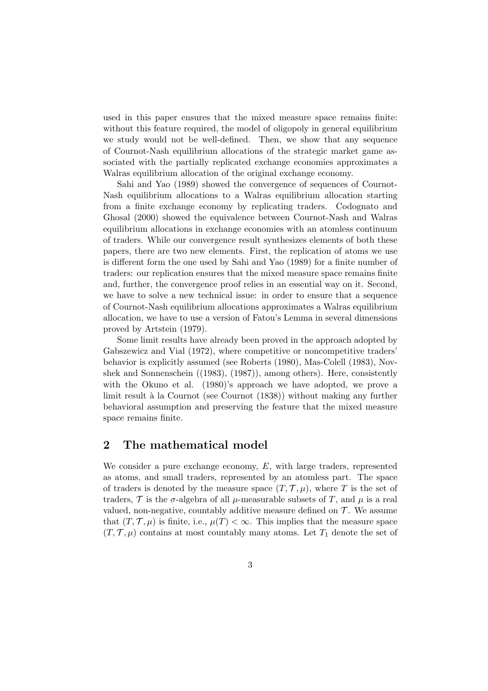used in this paper ensures that the mixed measure space remains finite: without this feature required, the model of oligopoly in general equilibrium we study would not be well-defined. Then, we show that any sequence of Cournot-Nash equilibrium allocations of the strategic market game associated with the partially replicated exchange economies approximates a Walras equilibrium allocation of the original exchange economy.

Sahi and Yao (1989) showed the convergence of sequences of Cournot-Nash equilibrium allocations to a Walras equilibrium allocation starting from a finite exchange economy by replicating traders. Codognato and Ghosal (2000) showed the equivalence between Cournot-Nash and Walras equilibrium allocations in exchange economies with an atomless continuum of traders. While our convergence result synthesizes elements of both these papers, there are two new elements. First, the replication of atoms we use is different form the one used by Sahi and Yao (1989) for a finite number of traders: our replication ensures that the mixed measure space remains finite and, further, the convergence proof relies in an essential way on it. Second, we have to solve a new technical issue: in order to ensure that a sequence of Cournot-Nash equilibrium allocations approximates a Walras equilibrium allocation, we have to use a version of Fatou's Lemma in several dimensions proved by Artstein (1979).

Some limit results have already been proved in the approach adopted by Gabszewicz and Vial (1972), where competitive or noncompetitive traders' behavior is explicitly assumed (see Roberts (1980), Mas-Colell (1983), Novshek and Sonnenschein ((1983), (1987)), among others). Here, consistently with the Okuno et al. (1980)'s approach we have adopted, we prove a limit result à la Cournot (see Cournot (1838)) without making any further behavioral assumption and preserving the feature that the mixed measure space remains finite.

## 2 The mathematical model

We consider a pure exchange economy, E, with large traders, represented as atoms, and small traders, represented by an atomless part. The space of traders is denoted by the measure space  $(T, \mathcal{T}, \mu)$ , where T is the set of traders, T is the  $\sigma$ -algebra of all  $\mu$ -measurable subsets of T, and  $\mu$  is a real valued, non-negative, countably additive measure defined on  $\mathcal T$ . We assume that  $(T, \mathcal{T}, \mu)$  is finite, i.e.,  $\mu(T) < \infty$ . This implies that the measure space  $(T, \mathcal{T}, \mu)$  contains at most countably many atoms. Let  $T_1$  denote the set of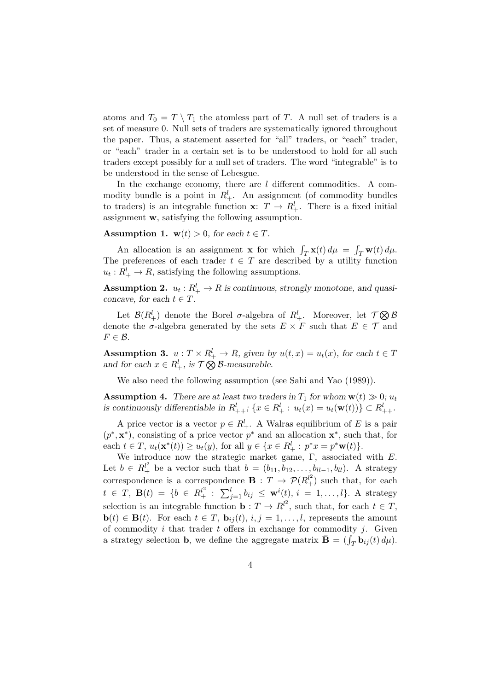atoms and  $T_0 = T \setminus T_1$  the atomless part of T. A null set of traders is a set of measure 0. Null sets of traders are systematically ignored throughout the paper. Thus, a statement asserted for "all" traders, or "each" trader, or "each" trader in a certain set is to be understood to hold for all such traders except possibly for a null set of traders. The word "integrable" is to be understood in the sense of Lebesgue.

In the exchange economy, there are  $l$  different commodities. A commodity bundle is a point in  $R_+^l$ . An assignment (of commodity bundles to traders) is an integrable function  $\mathbf{x}$ :  $T \to R_+^l$ . There is a fixed initial assignment w, satisfying the following assumption.

### Assumption 1.  $w(t) > 0$ , for each  $t \in T$ .

An allocation is an assignment **x** for which  $\int_T \mathbf{x}(t) d\mu$  = R  $T_{T}$ **w** $(t)$ *d* $\mu$ . The preferences of each trader  $t \in T$  are described by a utility function  $u_t: R_+^l \to R$ , satisfying the following assumptions.

**Assumption 2.**  $u_t: R_+^l \to R$  is continuous, strongly monotone, and quasiconcave, for each  $t \in T$ .

Let  $\mathcal{B}(R_+^l)$  denote the Borel  $\sigma$ -algebra of  $R_+^l$ . Moreover, let  $\mathcal{T} \bigotimes \mathcal{B}$ denote the  $\sigma$ -algebra generated by the sets  $E \times F$  such that  $E \in \mathcal{T}$  and  $F \in \mathcal{B}$ .

**Assumption 3.**  $u: T \times R_+^l \to R$ , given by  $u(t, x) = u_t(x)$ , for each  $t \in T$ Assumption 3.  $u : I \times N_+ \to N$ , given by<br>and for each  $x \in R_+^l$ , is  $\mathcal{T} \bigotimes \mathcal{B}$ -measurable.

We also need the following assumption (see Sahi and Yao (1989)).

**Assumption 4.** There are at least two traders in  $T_1$  for whom  $\mathbf{w}(t) \gg 0$ ;  $u_t$ is continuously differentiable in  $R_{++}^l$ ;  $\{x \in R_+^l : u_t(x) = u_t(\mathbf{w}(t))\} \subset R_{++}^l$ .

A price vector is a vector  $p \in R_+^l$ . A Walras equilibrium of E is a pair  $(p^*, \mathbf{x}^*)$ , consisting of a price vector  $p^*$  and an allocation  $\mathbf{x}^*$ , such that, for each  $t \in T$ ,  $u_t(\mathbf{x}^*(t)) \ge u_t(y)$ , for all  $y \in \{x \in R_+^l : p^*x = p^*\mathbf{w}(t)\}.$ 

We introduce now the strategic market game, Γ, associated with E. Let  $b \in R_+^{l^2}$  be a vector such that  $b = (b_{11}, b_{12}, \ldots, b_{ll-1}, b_{ll})$ . A strategy correspondence is a correspondence  $\mathbf{B}: T \to \mathcal{P}(R_+^{l^2})$  such that, for each t  $\in T$ ,  $\mathbf{B}(t) = \{b \in R_+^{l^2}: \sum_{j=1}^l b_{ij} \leq \mathbf{w}^i(t), i = 1, ..., l\}$ . A strategy selection is an integrable function  $\mathbf{b}: T \to R^{l^2}$ , such that, for each  $t \in T$ ,  $\mathbf{b}(t) \in \mathbf{B}(t)$ . For each  $t \in T$ ,  $\mathbf{b}_{ij}(t)$ ,  $i, j = 1, \ldots, l$ , represents the amount of commodity  $i$  that trader  $t$  offers in exchange for commodity  $j$ . Given or commodity *t* that trader *t* oners in exchange for commodity *f*. Given a strategy selection **b**, we define the aggregate matrix  $\mathbf{\bar{B}} = (\int_T \mathbf{b}_{ij}(t) d\mu)$ .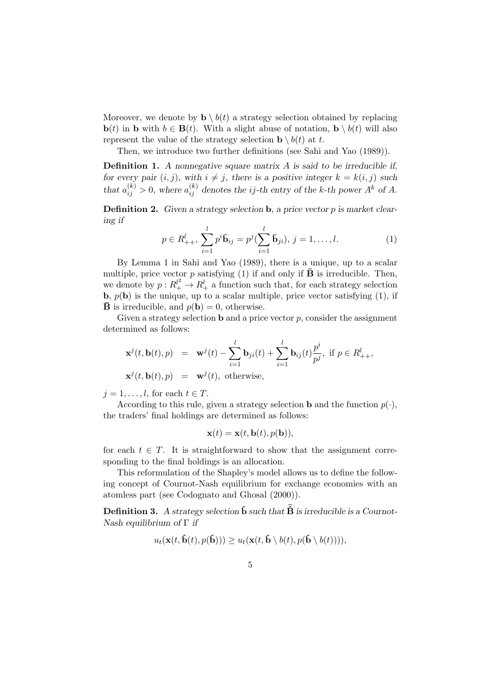Moreover, we denote by  $\mathbf{b} \setminus b(t)$  a strategy selection obtained by replacing  $\mathbf{b}(t)$  in b with  $b \in \mathbf{B}(t)$ . With a slight abuse of notation,  $\mathbf{b} \setminus b(t)$  will also represent the value of the strategy selection  $\mathbf{b} \setminus b(t)$  at t.

Then, we introduce two further definitions (see Sahi and Yao (1989)).

**Definition 1.** A nonnegative square matrix  $A$  is said to be irreducible if, for every pair  $(i, j)$ , with  $i \neq j$ , there is a positive integer  $k = k(i, j)$  such that  $a_{ij}^{(k)} > 0$ , where  $a_{ij}^{(k)}$  denotes the *ij*-th entry of the k-th power  $A^k$  of A.

**Definition 2.** Given a strategy selection **b**, a price vector  $p$  is market clearing if

$$
p \in R_{++}^l, \sum_{i=1}^l p^i \bar{\mathbf{b}}_{ij} = p^j(\sum_{i=1}^l \bar{\mathbf{b}}_{ji}), j = 1, \dots, l.
$$
 (1)

By Lemma 1 in Sahi and Yao (1989), there is a unique, up to a scalar multiple, price vector p satisfying (1) if and only if  $\bar{\mathbf{B}}$  is irreducible. Then, we denote by  $p: R_+^l \to R_+^l$  a function such that, for each strategy selection **b**,  $p(\mathbf{b})$  is the unique, up to a scalar multiple, price vector satisfying (1), if  $\bar{\mathbf{B}}$  is irreducible, and  $p(\mathbf{b}) = 0$ , otherwise.

Given a strategy selection  $\mathbf b$  and a price vector  $p$ , consider the assignment determined as follows:

$$
\mathbf{x}^{j}(t, \mathbf{b}(t), p) = \mathbf{w}^{j}(t) - \sum_{i=1}^{l} \mathbf{b}_{ji}(t) + \sum_{i=1}^{l} \mathbf{b}_{ij}(t) \frac{p^{i}}{p^{j}}, \text{ if } p \in R_{++}^{l},
$$
  

$$
\mathbf{x}^{j}(t, \mathbf{b}(t), p) = \mathbf{w}^{j}(t), \text{ otherwise},
$$

 $j = 1, \ldots, l$ , for each  $t \in T$ .

According to this rule, given a strategy selection **b** and the function  $p(\cdot)$ , the traders' final holdings are determined as follows:

$$
\mathbf{x}(t) = \mathbf{x}(t, \mathbf{b}(t), p(\mathbf{b})),
$$

for each  $t \in T$ . It is straightforward to show that the assignment corresponding to the final holdings is an allocation.

This reformulation of the Shapley's model allows us to define the following concept of Cournot-Nash equilibrium for exchange economies with an atomless part (see Codognato and Ghosal (2000)).

**Definition 3.** A strategy selection  $\hat{\mathbf{b}}$  such that  $\bar{\hat{\mathbf{B}}}$  is irreducible is a Cournot-Nash equilibrium of  $\Gamma$  if

$$
u_t(\mathbf{x}(t,\hat{\mathbf{b}}(t),p(\hat{\mathbf{b}}))) \geq u_t(\mathbf{x}(t,\hat{\mathbf{b}} \setminus b(t),p(\hat{\mathbf{b}} \setminus b(t))))
$$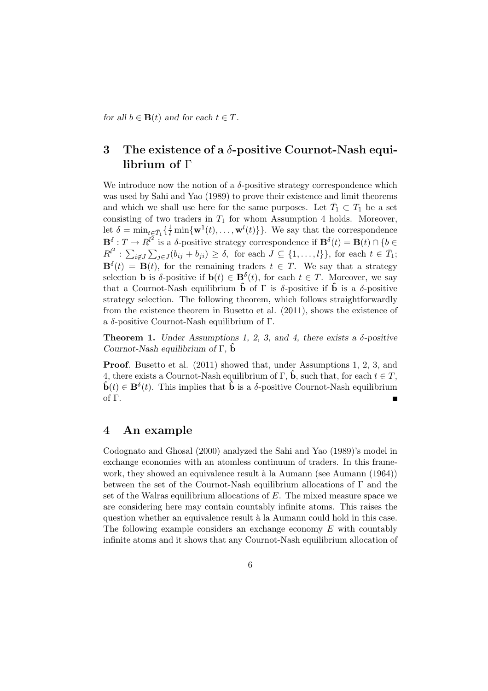for all  $b \in \mathbf{B}(t)$  and for each  $t \in T$ .

## 3 The existence of a  $\delta$ -positive Cournot-Nash equilibrium of Γ

We introduce now the notion of a  $\delta$ -positive strategy correspondence which was used by Sahi and Yao (1989) to prove their existence and limit theorems and which we shall use here for the same purposes. Let  $\bar{T}_1 \subset T_1$  be a set consisting of two traders in  $T_1$  for whom Assumption 4 holds. Moreover, let  $\delta = \min_{t \in \bar{T}_1} \{ \frac{1}{t} \min\{\mathbf{w}^1(t), \dots, \mathbf{w}^l(t)\} \}.$  We say that the correspondence  $\mathbf{B}^{\delta}: T \to R^{l^2}$  is a  $\delta$ -positive strategy correspondence if  $\mathbf{B}^{\delta}(t) = \mathbf{B}(t) \cap \{b \in$  $R^{l^2}:$  $\overline{\phantom{0}}$  $i\not\in J$  $\overline{\phantom{a}}$  $j \in J(b_{ij} + b_{ji}) \ge \delta$ , for each  $J \subseteq \{1, \ldots, l\}$ , for each  $t \in \overline{T}_1$ ;  $\mathbf{B}^{\delta}(t) = \mathbf{B}(t)$ , for the remaining traders  $t \in T$ . We say that a strategy selection **b** is  $\delta$ -positive if  $\mathbf{b}(t) \in \mathbf{B}^{\delta}(t)$ , for each  $t \in T$ . Moreover, we say that a Cournot-Nash equilibrium  $\hat{\mathbf{b}}$  of  $\Gamma$  is  $\delta$ -positive if  $\hat{\mathbf{b}}$  is a  $\delta$ -positive strategy selection. The following theorem, which follows straightforwardly from the existence theorem in Busetto et al. (2011), shows the existence of a δ-positive Cournot-Nash equilibrium of Γ.

**Theorem 1.** Under Assumptions 1, 2, 3, and 4, there exists a  $\delta$ -positive Cournot-Nash equilibrium of  $\Gamma$ ,  $\ddot{\mathbf{b}}$ 

Proof. Busetto et al. (2011) showed that, under Assumptions 1, 2, 3, and 4, there exists a Cournot-Nash equilibrium of  $\Gamma$ ,  $\hat{\mathbf{b}}$ , such that, for each  $t \in T$ ,  $\hat{\mathbf{b}}(t) \in \mathbf{B}^{\delta}(t)$ . This implies that  $\hat{\mathbf{b}}$  is a  $\delta$ -positive Cournot-Nash equilibrium of Γ.

## 4 An example

Codognato and Ghosal (2000) analyzed the Sahi and Yao (1989)'s model in exchange economies with an atomless continuum of traders. In this framework, they showed an equivalence result à la Aumann (see Aumann (1964)) between the set of the Cournot-Nash equilibrium allocations of Γ and the set of the Walras equilibrium allocations of  $E$ . The mixed measure space we are considering here may contain countably infinite atoms. This raises the question whether an equivalence result à la Aumann could hold in this case. The following example considers an exchange economy E with countably infinite atoms and it shows that any Cournot-Nash equilibrium allocation of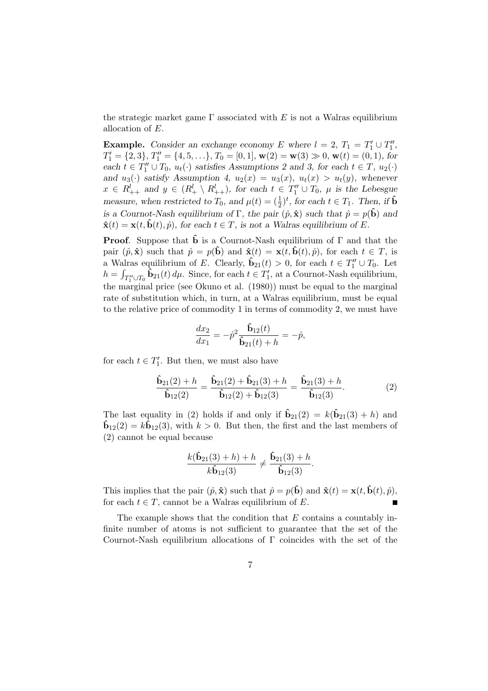the strategic market game  $\Gamma$  associated with E is not a Walras equilibrium allocation of E.

**Example.** Consider an exchange economy E where  $l = 2$ ,  $T_1 = T_1' \cup T_1''$ ,  $T_1' = \{2, 3\}, T_1'' = \{4, 5, \ldots\}, T_0 = [0, 1], \mathbf{w}(2) = \mathbf{w}(3) \gg 0, \mathbf{w}(t) = (0, 1),$  for each  $t \in T''_1 \cup T_0$ ,  $u_t(\cdot)$  satisfies Assumptions 2 and 3, for each  $t \in T$ ,  $u_2(\cdot)$ and  $u_3(\cdot)$  satisfy Assumption 4,  $u_2(x) = u_3(x)$ ,  $u_t(x) > u_t(y)$ , whenever  $x \in R_{++}^l$  and  $y \in (R_+^l \setminus R_{++}^l)$ , for each  $t \in T_1'' \cup T_0$ ,  $\mu$  is the Lebesgue measure, when restricted to  $T_0$ , and  $\mu(t) = (\frac{1}{2})^t$ , for each  $t \in T_1$ . Then, if  $\hat{\mathbf{b}}$ is a Cournot-Nash equilibrium of Γ, the pair  $(\hat{p}, \hat{\mathbf{x}})$  such that  $\hat{p} = p(\hat{\mathbf{b}})$  and  $\hat{\mathbf{x}}(t) = \mathbf{x}(t, \hat{\mathbf{b}}(t), \hat{p})$ , for each  $t \in T$ , is not a Walras equilibrium of E.

**Proof.** Suppose that  $\hat{\mathbf{b}}$  is a Cournot-Nash equilibrium of  $\Gamma$  and that the pair  $(\hat{p}, \hat{\mathbf{x}})$  such that  $\hat{p} = p(\hat{\mathbf{b}})$  and  $\hat{\mathbf{x}}(t) = \mathbf{x}(t, \hat{\mathbf{b}}(t), \hat{p})$ , for each  $t \in T$ , is a Walras equilibrium of E. Clearly,  $\hat{\mathbf{b}}_{21}(t) > 0$ , for each  $t \in T''_1 \cup T_0$ . Let  $h = \int_{T_1'' \cup T_0} \hat{b}_{21}(t) d\mu$ . Since, for each  $t \in T_1'$ , at a Cournot-Nash equilibrium, the marginal price (see Okuno et al. (1980)) must be equal to the marginal rate of substitution which, in turn, at a Walras equilibrium, must be equal to the relative price of commodity 1 in terms of commodity 2, we must have

$$
\frac{dx_2}{dx_1} = -\hat{p}^2 \frac{\hat{\mathbf{b}}_{12}(t)}{\hat{\mathbf{b}}_{21}(t) + h} = -\hat{p},
$$

for each  $t \in T'_1$ . But then, we must also have

$$
\frac{\hat{\mathbf{b}}_{21}(2) + h}{\hat{\mathbf{b}}_{12}(2)} = \frac{\hat{\mathbf{b}}_{21}(2) + \hat{\mathbf{b}}_{21}(3) + h}{\hat{\mathbf{b}}_{12}(2) + \hat{\mathbf{b}}_{12}(3)} = \frac{\hat{\mathbf{b}}_{21}(3) + h}{\hat{\mathbf{b}}_{12}(3)}.
$$
\n(2)

The last equality in (2) holds if and only if  $\hat{\mathbf{b}}_{21}(2) = k(\hat{\mathbf{b}}_{21}(3) + h)$  and  $\hat{\mathbf{b}}_{12}(2) = k\hat{\mathbf{b}}_{12}(3)$ , with  $k > 0$ . But then, the first and the last members of (2) cannot be equal because

$$
\frac{k(\widehat{\mathbf{b}}_{21}(3)+h)+h}{k\widehat{\mathbf{b}}_{12}(3)} \neq \frac{\widehat{\mathbf{b}}_{21}(3)+h}{\widehat{\mathbf{b}}_{12}(3)}.
$$

This implies that the pair  $(\hat{p}, \hat{\mathbf{x}})$  such that  $\hat{p} = p(\hat{\mathbf{b}})$  and  $\hat{\mathbf{x}}(t) = \mathbf{x}(t, \hat{\mathbf{b}}(t), \hat{p})$ , for each  $t \in T$ , cannot be a Walras equilibrium of E.

The example shows that the condition that  $E$  contains a countably infinite number of atoms is not sufficient to guarantee that the set of the Cournot-Nash equilibrium allocations of Γ coincides with the set of the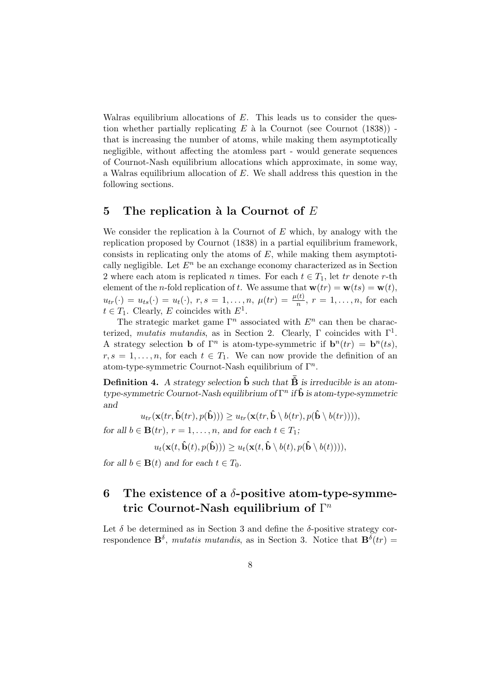Walras equilibrium allocations of  $E$ . This leads us to consider the question whether partially replicating  $E$  à la Cournot (see Cournot (1838)) that is increasing the number of atoms, while making them asymptotically negligible, without affecting the atomless part - would generate sequences of Cournot-Nash equilibrium allocations which approximate, in some way, a Walras equilibrium allocation of E. We shall address this question in the following sections.

## 5 The replication à la Cournot of  $E$

We consider the replication  $\hat{a}$  la Cournot of E which, by analogy with the replication proposed by Cournot (1838) in a partial equilibrium framework, consists in replicating only the atoms of  $E$ , while making them asymptotically negligible. Let  $E<sup>n</sup>$  be an exchange economy characterized as in Section 2 where each atom is replicated n times. For each  $t \in T_1$ , let tr denote r-th element of the *n*-fold replication of t. We assume that  $\mathbf{w}(tr) = \mathbf{w}(ts) = \mathbf{w}(t)$ ,  $u_{tr}(\cdot) = u_{ts}(\cdot) = u_t(\cdot), r, s = 1, \ldots, n, \mu(tr) = \frac{\mu(t)}{n}, r = 1, \ldots, n$ , for each  $t \in T_1$ . Clearly, E coincides with  $E^1$ .

The strategic market game  $\Gamma^n$  associated with  $E^n$  can then be characterized, mutatis mutandis, as in Section 2. Clearly,  $\Gamma$  coincides with  $\Gamma^1$ . A strategy selection **b** of  $\Gamma^n$  is atom-type-symmetric if  $\mathbf{b}^n(tr) = \mathbf{b}^n(ts)$ ,  $r, s = 1, \ldots, n$ , for each  $t \in T_1$ . We can now provide the definition of an atom-type-symmetric Cournot-Nash equilibrium of  $\Gamma^n$ .

**Definition 4.** A strategy selection  $\hat{\mathbf{b}}$  such that  $\overline{\hat{\mathbf{B}}}$  is irreducible is an atomtype-symmetric Cournot-Nash equilibrium of  $\Gamma^n$  if  $\hat{\mathbf{b}}$  is atom-type-symmetric and

 $u_{tr}(\mathbf{x}(tr, \hat{\mathbf{b}}(tr), p(\hat{\mathbf{b}}))) \geq u_{tr}(\mathbf{x}(tr, \hat{\mathbf{b}} \setminus b(tr), p(\hat{\mathbf{b}} \setminus b(tr))),$ 

for all  $b \in \mathbf{B}(tr)$ ,  $r = 1, \ldots, n$ , and for each  $t \in T_1$ ;

 $u_t(\mathbf{x}(t, \hat{\mathbf{b}}(t), p(\hat{\mathbf{b}}))) \geq u_t(\mathbf{x}(t, \hat{\mathbf{b}} \setminus b(t), p(\hat{\mathbf{b}} \setminus b(t))))$ 

for all  $b \in \mathbf{B}(t)$  and for each  $t \in T_0$ .

## 6 The existence of a  $\delta$ -positive atom-type-symmetric Cournot-Nash equilibrium of  $\Gamma^n$

Let  $\delta$  be determined as in Section 3 and define the  $\delta$ -positive strategy correspondence  $\mathbf{B}^{\delta}$ , *mutatis mutandis*, as in Section 3. Notice that  $\mathbf{B}^{\delta}(tr)$  =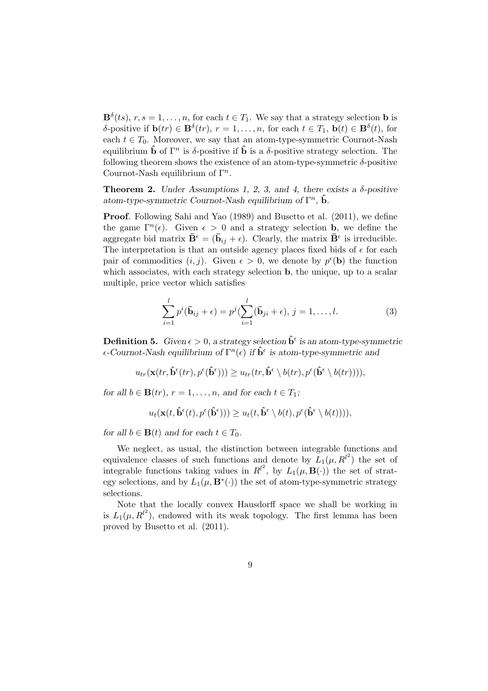$\mathbf{B}^{\delta}(ts), r, s = 1, \ldots, n$ , for each  $t \in T_1$ . We say that a strategy selection **b** is δ-positive if  $\mathbf{b}(tr) \in \mathbf{B}^{\delta}(tr)$ ,  $r = 1, \ldots, n$ , for each  $t \in T_1$ ,  $\mathbf{b}(t) \in \mathbf{B}^{\delta}(t)$ , for each  $t \in T_0$ . Moreover, we say that an atom-type-symmetric Cournot-Nash equilibrium  $\hat{\mathbf{b}}$  of  $\Gamma^n$  is  $\delta$ -positive if  $\hat{\mathbf{b}}$  is a  $\delta$ -positive strategy selection. The following theorem shows the existence of an atom-type-symmetric  $\delta$ -positive Cournot-Nash equilibrium of  $\Gamma^n$ .

**Theorem 2.** Under Assumptions 1, 2, 3, and 4, there exists a  $\delta$ -positive atom-type-symmetric Cournot-Nash equilibrium of  $\Gamma^n$ ,  $\hat{\mathbf{b}}$ .

Proof. Following Sahi and Yao (1989) and Busetto et al. (2011), we define the game  $\Gamma^n(\epsilon)$ . Given  $\epsilon > 0$  and a strategy selection **b**, we define the aggregate bid matrix  $\bar{\mathbf{B}}^{\epsilon} = (\bar{\mathbf{b}}_{ij} + \epsilon)$ . Clearly, the matrix  $\bar{\mathbf{B}}^{\epsilon}$  is irreducible. The interpretation is that an outside agency places fixed bids of  $\epsilon$  for each pair of commodities  $(i, j)$ . Given  $\epsilon > 0$ , we denote by  $p^{\epsilon}(\mathbf{b})$  the function which associates, with each strategy selection **b**, the unique, up to a scalar multiple, price vector which satisfies

$$
\sum_{i=1}^{l} p^{i}(\bar{\mathbf{b}}_{ij} + \epsilon) = p^{j}(\sum_{i=1}^{l} (\bar{\mathbf{b}}_{ji} + \epsilon), j = 1, ..., l.
$$
 (3)

**Definition 5.** Given  $\epsilon > 0$ , a strategy selection  $\hat{\mathbf{b}}^{\epsilon}$  is an atom-type-symmetric  $\epsilon$ -Cournot-Nash equilibrium of  $\Gamma^{n}(\epsilon)$  if  $\hat{\mathbf{b}}^{\epsilon}$  is atom-type-symmetric and

$$
u_{tr}(\mathbf{x}(tr, \hat{\mathbf{b}}^{\epsilon}(tr), p^{\epsilon}(\hat{\mathbf{b}}^{\epsilon}))) \geq u_{tr}(tr, \hat{\mathbf{b}}^{\epsilon} \setminus b(tr), p^{\epsilon}(\hat{\mathbf{b}}^{\epsilon} \setminus b(tr))),
$$

for all  $b \in \mathbf{B}(tr)$ ,  $r = 1, \ldots, n$ , and for each  $t \in T_1$ ;

$$
u_t(\mathbf{x}(t,\hat{\mathbf{b}}^{\epsilon}(t),p^{\epsilon}(\hat{\mathbf{b}}^{\epsilon}))) \geq u_t(t,\hat{\mathbf{b}}^{\epsilon} \setminus b(t),p^{\epsilon}(\hat{\mathbf{b}}^{\epsilon} \setminus b(t)))),
$$

for all  $b \in \mathbf{B}(t)$  and for each  $t \in T_0$ .

We neglect, as usual, the distinction between integrable functions and equivalence classes of such functions and denote by  $L_1(\mu, R^{l^2})$  the set of integrable functions taking values in  $R^{l^2}$ , by  $L_1(\mu, \mathbf{B}(\cdot))$  the set of strategy selections, and by  $L_1(\mu, \mathbf{B}^*(\cdot))$  the set of atom-type-symmetric strategy selections.

Note that the locally convex Hausdorff space we shall be working in is  $L_1(\mu, R^{l^2})$ , endowed with its weak topology. The first lemma has been proved by Busetto et al. (2011).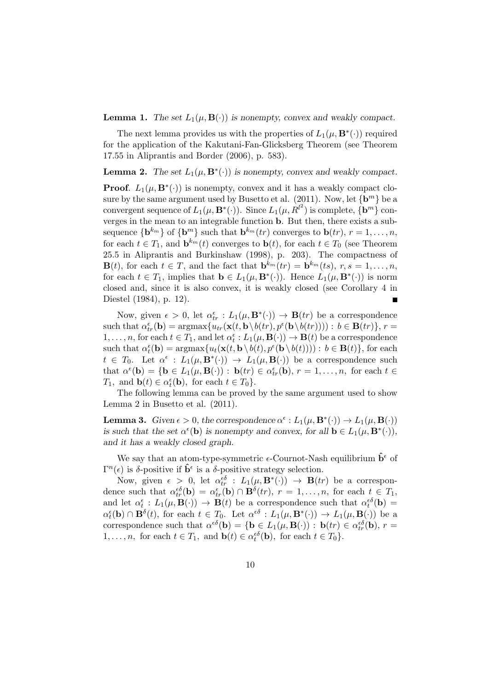**Lemma 1.** The set  $L_1(\mu, \mathbf{B}(\cdot))$  is nonempty, convex and weakly compact.

The next lemma provides us with the properties of  $L_1(\mu, \mathbf{B}^*(\cdot))$  required for the application of the Kakutani-Fan-Glicksberg Theorem (see Theorem 17.55 in Aliprantis and Border (2006), p. 583).

**Lemma 2.** The set  $L_1(\mu, \mathbf{B}^*(\cdot))$  is nonempty, convex and weakly compact.

**Proof.**  $L_1(\mu, \mathbf{B}^*(\cdot))$  is nonempty, convex and it has a weakly compact closure by the same argument used by Busetto et al.  $(2011)$ . Now, let  $\{b^m\}$  be a convergent sequence of  $L_1(\mu, \mathbf{B}^*(\cdot))$ . Since  $L_1(\mu, R^{l^2})$  is complete,  $\{\mathbf{b}^m\}$  converges in the mean to an integrable function b. But then, there exists a subsequence  $\{ \mathbf{b}^{k_m} \}$  of  $\{ \mathbf{b}^m \}$  such that  $\mathbf{b}^{k_m}(tr)$  converges to  $\mathbf{b}(tr)$ ,  $r = 1, \ldots, n$ , for each  $t \in T_1$ , and  $\mathbf{b}^{k_m}(t)$  converges to  $\mathbf{b}(t)$ , for each  $t \in T_0$  (see Theorem 25.5 in Aliprantis and Burkinshaw (1998), p. 203). The compactness of  $\mathbf{B}(t)$ , for each  $t \in T$ , and the fact that  $\mathbf{b}^{k_m}(tr) = \mathbf{b}^{k_m}(ts)$ ,  $r, s = 1, \ldots, n$ , for each  $t \in T_1$ , implies that  $\mathbf{b} \in L_1(\mu, \mathbf{B}^*(\cdot))$ . Hence  $L_1(\mu, \mathbf{B}^*(\cdot))$  is norm closed and, since it is also convex, it is weakly closed (see Corollary 4 in Diestel (1984), p. 12).

Now, given  $\epsilon > 0$ , let  $\alpha_{tr}^{\epsilon} : L_1(\mu, \mathbf{B}^*(\cdot)) \to \mathbf{B}(tr)$  be a correspondence such that  $\alpha_{tr}^{\epsilon}(\mathbf{b}) = \operatorname{argmax} \{ u_{tr}(\mathbf{x}(t, \mathbf{b}\setminus b(tr), p^{\epsilon}(\mathbf{b}\setminus b(tr)))) : b \in \mathbf{B}(tr) \}, r =$  $1, \ldots, n$ , for each  $t \in T_1$ , and let  $\alpha_t^{\epsilon}: L_1(\mu, \mathbf{B}(\cdot)) \to \mathbf{B}(t)$  be a correspondence such that  $\alpha_t^{\epsilon}(\mathbf{b}) = \operatorname{argmax} \{ u_t(\mathbf{x}(t, \mathbf{b} \setminus b(t), p^{\epsilon}(\mathbf{b} \setminus b(t)))) : b \in \mathbf{B}(t) \}$ , for each  $t \in T_0$ . Let  $\alpha^{\epsilon} : L_1(\mu, \mathbf{B}^*(\cdot)) \to L_1(\mu, \mathbf{B}(\cdot))$  be a correspondence such that  $\alpha^{\epsilon}(\mathbf{b}) = \{ \mathbf{b} \in L_1(\mu, \mathbf{B}(\cdot)) : \mathbf{b}(tr) \in \alpha^{\epsilon}_{tr}(\mathbf{b}), r = 1, \dots, n, \text{ for each } t \in$  $T_1$ , and  $\mathbf{b}(t) \in \alpha_t^{\epsilon}(\mathbf{b})$ , for each  $t \in T_0$ .

The following lemma can be proved by the same argument used to show Lemma 2 in Busetto et al. (2011).

**Lemma 3.** Given  $\epsilon > 0$ , the correspondence  $\alpha^{\epsilon} : L_1(\mu, \mathbf{B}^*(\cdot)) \to L_1(\mu, \mathbf{B}(\cdot))$ is such that the set  $\alpha^{\epsilon}(\mathbf{b})$  is nonempty and convex, for all  $\mathbf{b} \in L_1(\mu, \mathbf{B}^*(\cdot)),$ and it has a weakly closed graph.

We say that an atom-type-symmetric  $\epsilon$ -Cournot-Nash equilibrium  $\mathbf{b}^{\epsilon}$  of  $\Gamma^{n}(\epsilon)$  is δ-positive if  $\hat{\mathbf{b}}^{\epsilon}$  is a δ-positive strategy selection.

Now, given  $\epsilon > 0$ , let  $\alpha_{tr}^{\epsilon \delta}$  :  $L_1(\mu, \mathbf{B}^*(\cdot)) \rightarrow \mathbf{B}(tr)$  be a correspondence such that  $\alpha_{tr}^{\epsilon\delta}(\mathbf{b}) = \alpha_{tr}^{\epsilon}(\mathbf{b}) \cap \mathbf{B}^{\delta}(tr), r = 1, \ldots, n$ , for each  $t \in T_1$ , and let  $\alpha_t^{\epsilon}: L_1(\mu, \mathbf{B}(\cdot)) \to \mathbf{B}(t)$  be a correspondence such that  $\alpha_t^{\epsilon\delta}(\mathbf{b}) =$  $\alpha_t^{\epsilon}(\mathbf{b}) \cap \mathbf{B}^{\delta}(t)$ , for each  $t \in T_0$ . Let  $\alpha^{\epsilon \delta} : L_1(\mu, \mathbf{B}^*(\cdot)) \to L_1(\mu, \mathbf{B}(\cdot))$  be a correspondence such that  $\alpha^{\epsilon\delta}(\mathbf{b}) = \{ \mathbf{b} \in L_1(\mu, \mathbf{B}(\cdot)) : \mathbf{b}(tr) \in \alpha^{\epsilon\delta}_{tr}(\mathbf{b}), r =$ 1,...,n, for each  $t \in T_1$ , and  $\mathbf{b}(t) \in \alpha_t^{\epsilon \delta}(\mathbf{b})$ , for each  $t \in T_0$ .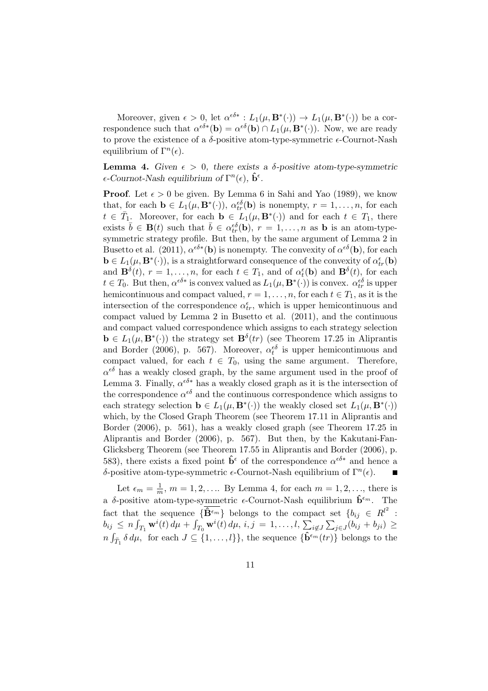Moreover, given  $\epsilon > 0$ , let  $\alpha^{\epsilon \delta *}: L_1(\mu, \mathbf{B}^*(\cdot)) \to L_1(\mu, \mathbf{B}^*(\cdot))$  be a correspondence such that  $\alpha^{\epsilon\delta*}(\mathbf{b}) = \alpha^{\epsilon\delta}(\mathbf{b}) \cap L_1(\mu, \mathbf{B}^*(\cdot))$ . Now, we are ready to prove the existence of a  $\delta$ -positive atom-type-symmetric  $\epsilon$ -Cournot-Nash equilibrium of  $\Gamma^n(\epsilon)$ .

**Lemma 4.** Given  $\epsilon > 0$ , there exists a  $\delta$ -positive atom-type-symmetric  $\epsilon$ -Cournot-Nash equilibrium of  $\Gamma^n(\epsilon)$ ,  $\hat{\mathbf{b}}^{\epsilon}$ .

**Proof.** Let  $\epsilon > 0$  be given. By Lemma 6 in Sahi and Yao (1989), we know that, for each  $\mathbf{b} \in L_1(\mu, \mathbf{B}^*(\cdot)), \alpha_{tr}^{\epsilon\delta}(\mathbf{b})$  is nonempty,  $r = 1, \ldots, n$ , for each  $t \in \overline{T}_1$ . Moreover, for each  $\mathbf{b} \in L_1(\mu, \mathbf{B}^*(\cdot))$  and for each  $t \in T_1$ , there exists  $\bar{b} \in \mathbf{B}(t)$  such that  $\bar{b} \in \alpha_{tr}^{\epsilon \delta}(\mathbf{b}), r = 1, \ldots, n$  as **b** is an atom-typesymmetric strategy profile. But then, by the same argument of Lemma 2 in Busetto et al. (2011),  $\alpha^{\epsilon\delta*}(\mathbf{b})$  is nonempty. The convexity of  $\alpha^{\epsilon\delta}(\mathbf{b})$ , for each  $\mathbf{b} \in L_1(\mu, \mathbf{B}^*(\cdot)),$  is a straightforward consequence of the convexity of  $\alpha_{tr}^{\epsilon}(\mathbf{b})$ and  $\mathbf{B}^{\delta}(t)$ ,  $r = 1, \ldots, n$ , for each  $t \in T_1$ , and of  $\alpha_t^{\epsilon}(\mathbf{b})$  and  $\mathbf{B}^{\delta}(t)$ , for each  $t \in T_0$ . But then,  $\alpha^{\epsilon \delta *}$  is convex valued as  $L_1(\mu, \mathbf{B}^*(\cdot))$  is convex.  $\alpha^{\epsilon \delta}_{tr}$  is upper hemicontinuous and compact valued,  $r = 1, \ldots, n$ , for each  $t \in T_1$ , as it is the intersection of the correspondence  $\alpha_{tr}^{\epsilon}$ , which is upper hemicontinuous and compact valued by Lemma 2 in Busetto et al. (2011), and the continuous and compact valued correspondence which assigns to each strategy selection  $\mathbf{b} \in L_1(\mu, \mathbf{B}^*(\cdot))$  the strategy set  $\mathbf{B}^{\delta}(tr)$  (see Theorem 17.25 in Aliprantis and Border (2006), p. 567). Moreover,  $\alpha_t^{\epsilon \delta}$  is upper hemicontinuous and compact valued, for each  $t \in T_0$ , using the same argument. Therefore,  $\alpha^{\epsilon\delta}$  has a weakly closed graph, by the same argument used in the proof of Lemma 3. Finally,  $\alpha^{6\delta*}$  has a weakly closed graph as it is the intersection of the correspondence  $\alpha^{\epsilon\delta}$  and the continuous correspondence which assigns to each strategy selection  $\mathbf{b} \in L_1(\mu, \mathbf{B}^*(\cdot))$  the weakly closed set  $L_1(\mu, \mathbf{B}^*(\cdot))$ which, by the Closed Graph Theorem (see Theorem 17.11 in Aliprantis and Border (2006), p. 561), has a weakly closed graph (see Theorem 17.25 in Aliprantis and Border (2006), p. 567). But then, by the Kakutani-Fan-Glicksberg Theorem (see Theorem 17.55 in Aliprantis and Border (2006), p. 583), there exists a fixed point  $\hat{\mathbf{b}}^{\epsilon}$  of the correspondence  $\alpha^{\epsilon \delta *}$  and hence a δ-positive atom-type-symmetric  $\epsilon$ -Cournot-Nash equilibrium of Γ<sup>n</sup>( $\epsilon$ ).

Let  $\epsilon_m = \frac{1}{m}$  $\frac{1}{m}$ ,  $m = 1, 2, \dots$  By Lemma 4, for each  $m = 1, 2, \dots$ , there is a δ-positive atom-type-symmetric  $\epsilon\text{-}{\rm Cournot\text{-}Nash}$  equilibrium  $\hat{\mathbf{b}}^{\epsilon_m}$ . The fact that the sequence  $\{\hat{\mathbf{B}}^{\epsilon_m}\}\$  belongs to the compact set  $\{b_{ij} \in R^{l^2} :$ Figure 1.1.1 The sequence  $\{ \mathbf{b}^{m} \}$  belongs to the compact set  $\{v_{ij} \in \mathbb{R} \}$ <br>  $b_{ij} \leq n \int_{T_1} \mathbf{w}^i(t) d\mu + \int_{T_0} \mathbf{w}^i(t) d\mu$ ,  $i, j = 1, \ldots, l, \sum_{i \notin J} \sum_{j \in J} (b_{ij} + b_{ji}) \geq$  $n \int_{\bar{T}_1} \delta \, d\mu$ , for each  $J \subseteq \{1, \ldots, l\}$ , the sequence  $\{\hat{\mathbf{b}}^{\epsilon_m}(tr)\}\$  belongs to the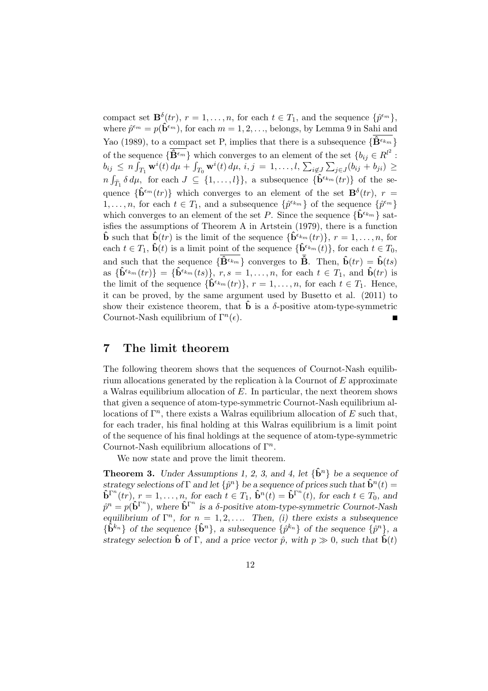compact set  $\mathbf{B}^{\delta}(tr)$ ,  $r = 1, \ldots, n$ , for each  $t \in T_1$ , and the sequence  $\{\hat{p}^{\epsilon_m}\}\$ , where  $\hat{p}^{\epsilon_m} = p(\hat{\mathbf{b}}^{\epsilon_m})$ , for each  $m = 1, 2, \ldots$ , belongs, by Lemma 9 in Sahi and Yao (1989), to a compact set P, implies that there is a subsequence  $\{\hat{\mathbf{B}}^{\epsilon_{k_m}}\}$ of the sequence  $\{\widehat{\mathbf{B}}^{\epsilon_m}\}\)$  which converges to an element of the set  $\{b_{ij} \in R^{l^2}:\}$ bij  $\leq n \int_{T_1} \mathbf{w}^i(t) d\mu + \int_{T_0} \mathbf{w}^i(t) d\mu$ ,  $i, j = 1, ..., l$ ,  $\sum_{i \notin J} \sum_{j \in J} (b_{ij} + b_{ji}) \geq$  $n \int_{\bar{T}_1} \delta d\mu$ , for each  $J \subseteq \{1,\ldots,l\}$ , a subsequence  $\{\hat{\mathbf{b}}^{\epsilon_{km}}(tr)\}\$  of the sequence  $\{\hat{\mathbf{b}}^{\epsilon_m}(tr)\}\$  which converges to an element of the set  $\mathbf{B}^{\delta}(tr), r =$  $1, \ldots, n$ , for each  $t \in T_1$ , and a subsequence  $\{\hat{p}^{\epsilon_{k_m}}\}$  of the sequence  $\{\hat{p}^{\epsilon_m}\}$ which converges to an element of the set P. Since the sequence  $\{\hat{\mathbf{b}}^{\epsilon_{k_m}}\}$  satisfies the assumptions of Theorem A in Artstein (1979), there is a function  $\hat{\mathbf{b}}$  such that  $\hat{\mathbf{b}}(tr)$  is the limit of the sequence  $\{\hat{\mathbf{b}}^{\epsilon_{km}}(tr)\}\text{, }r=1,\ldots,n\text{, for }$ each  $t \in T_1$ ,  $\hat{\mathbf{b}}(t)$  is a limit point of the sequence  $\{\hat{\mathbf{b}}^{\epsilon_{km}}(t)\}\text{, for each } t \in T_0$ , and such that the sequence  $\{\overline{\mathbf{\hat{B}}^{\epsilon_{km}}}\}$  converges to  $\overline{\mathbf{\hat{B}}}$ . Then,  $\mathbf{\hat{b}}(tr) = \mathbf{\hat{b}}(ts)$ as  $\{\hat{\mathbf{b}}^{\epsilon_{km}}(tr)\} = \{\hat{\mathbf{b}}^{\epsilon_{km}}(ts)\}, r, s = 1, \ldots, n$ , for each  $t \in T_1$ , and  $\hat{\mathbf{b}}(tr)$  is the limit of the sequence  $\{\hat{\mathbf{b}}^{\epsilon_{k_m}}(tr)\}, r = 1, \ldots, n$ , for each  $t \in T_1$ . Hence, it can be proved, by the same argument used by Busetto et al. (2011) to show their existence theorem, that  $\hat{\mathbf{b}}$  is a  $\delta$ -positive atom-type-symmetric Cournot-Nash equilibrium of  $\Gamma^{n}(\epsilon)$ .

## 7 The limit theorem

The following theorem shows that the sequences of Cournot-Nash equilibrium allocations generated by the replication  $\alpha$  la Cournot of  $E$  approximate a Walras equilibrium allocation of  $E$ . In particular, the next theorem shows that given a sequence of atom-type-symmetric Cournot-Nash equilibrium allocations of  $\Gamma^n$ , there exists a Walras equilibrium allocation of E such that, for each trader, his final holding at this Walras equilibrium is a limit point of the sequence of his final holdings at the sequence of atom-type-symmetric Cournot-Nash equilibrium allocations of  $\Gamma^n$ .

We now state and prove the limit theorem.

**Theorem 3.** Under Assumptions 1, 2, 3, and 4, let  $\{\hat{\mathbf{b}}^n\}$  be a sequence of strategy selections of  $\Gamma$  and let  $\{\hat{p}^n\}$  be a sequence of prices such that  $\hat{\mathbf{b}}^n(t)$  $\mathbf{\hat{b}}^{\Gamma^{n}}(tr), r = 1, \ldots, n$ , for each  $t \in T_1$ ,  $\mathbf{\hat{b}}^{n}(t) = \mathbf{\hat{b}}^{\Gamma^{n}}(t)$ , for each  $t \in T_0$ , and  $\hat{p}^n = p(\hat{\mathbf{b}}^{\Gamma^n})$ , where  $\hat{\mathbf{b}}^{\Gamma^n}$  is a  $\delta$ -positive atom-type-symmetric Cournot-Nash equilibrium of  $\Gamma^n$ , for  $n = 1, 2, \ldots$  Then, (i) there exists a subsequence  $\{\hat{\mathbf{b}}^{k_n}\}\$  of the sequence  $\{\hat{\mathbf{b}}^n\}\$ , a subsequence  $\{\hat{p}^{k_n}\}\$  of the sequence  $\{\hat{p}^n\}\$ , a strategy selection  $\hat{\mathbf{b}}$  of  $\Gamma$ , and a price vector  $\hat{p}$ , with  $p \gg 0$ , such that  $\hat{\mathbf{b}}(t)$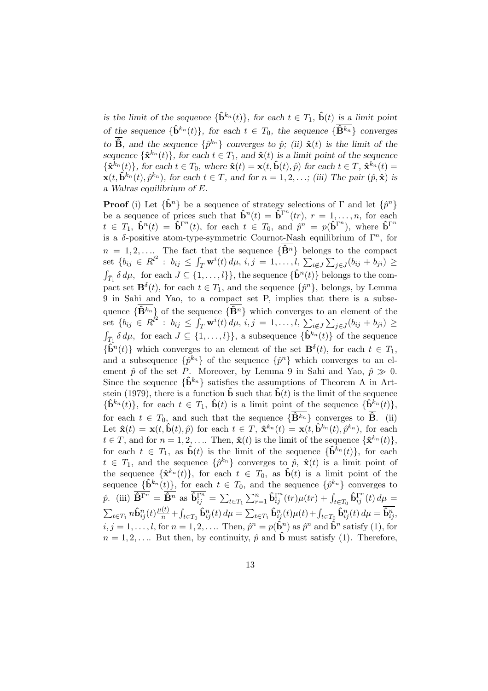is the limit of the sequence  $\{\hat{\mathbf{b}}^{k_n}(t)\}\$ , for each  $t \in T_1$ ,  $\hat{\mathbf{b}}(t)$  is a limit point of the sequence  $\{\hat{\mathbf{b}}^{k_n}(t)\}\text{, for each }t\in\mathcal{T}_0\text{, the sequence }\{\hat{\mathbf{B}}^{k_n}\}\text{ converges}$ to  $\hat{\mathbf{B}}$ , and the sequence  $\{\hat{p}^{k_n}\}\)$  converges to  $\hat{p}$ ; (ii)  $\hat{\mathbf{x}}(t)$  is the limit of the sequence  $\{\hat{\mathbf{x}}^{k_n}(t)\}\text{, for each }t\in T_1\text{, and }\hat{\mathbf{x}}(t)\text{ is a limit point of the sequence }t_1,\ldots,t_n\in T_1\text{, and }t_n\in T_1\text{, and }t_n\in T_1\text{, and }t_n\in T_1\text{, and }t_n\in T_1\text{, and }t_n\in T_1\text{, and }t_n\in T_1\text{, and }t_n\in T_1\text{, and }t_n\in T_1\text{, and }t_n\in T_1\text{, and }t_n\in T_1\text{, and }t_n\in T_1\text{$  ${\{\hat{\mathbf{x}}^{k_n}(t)\}}$ , for each  $t \in T_0$ , where  $\hat{\mathbf{x}}(t) = \mathbf{x}(t, \hat{\mathbf{b}}(t), \hat{p})$  for each  $t \in T$ ,  $\hat{\mathbf{x}}^{k_n}(t) =$  $\mathbf{x}(t, \hat{\mathbf{b}}^{k_n}(t), \hat{p}^{k_n})$ , for each  $t \in T$ , and for  $n = 1, 2, \ldots$ ; (iii) The pair  $(\hat{p}, \hat{\mathbf{x}})$  is a Walras equilibrium of E.

**Proof** (i) Let  $\{\hat{\mathbf{b}}^n\}$  be a sequence of strategy selections of  $\Gamma$  and let  $\{\hat{p}^n\}$ be a sequence of prices such that  $\hat{\mathbf{b}}^n(t) = \hat{\mathbf{b}}^{\Gamma^n}(tr), r = 1, \ldots, n$ , for each  $t \in T_1$ ,  $\mathbf{\hat{b}}^n(t) = \mathbf{\hat{b}}^{\Gamma^n}(t)$ , for each  $t \in T_0$ , and  $\hat{p}^n = p(\mathbf{\hat{b}}^{\Gamma^n})$ , where  $\mathbf{\hat{b}}^{\Gamma^n}$ is a  $\delta$ -positive atom-type-symmetric Cournot-Nash equilibrium of  $\Gamma^n$ , for  $n = 1, 2, \ldots$  The fact that the sequence  $\{\hat{\mathbf{B}}^n\}$  belongs to the compact  $m = 1, 2, \ldots$  The fact that the sequence  $\{D^{\alpha}\}\}$  belong<br>set  $\{b_{ij} \in R^{l^2} : b_{ij} \leq \int_T \mathbf{w}^i(t) d\mu, i, j = 1, \ldots, l, \sum_{i \notin J}$  $\sum_{i=1}^{5}$  $\text{set } \{b_{ij} \in R^{l^2} : b_{ij} \leq \int_T \mathbf{w}^i(t) \, d\mu, i,j = 1,\ldots, l, \sum_{i \notin J} \sum_{j \in J} (b_{ij} + b_{ji}) \geq$  $\{\hat{\mathbf{b}}^n(t)\}\$  belongs to the com-<br>  $\{\hat{\mathbf{b}}^n(t)\}\$ belongs to the compact set  $\mathbf{B}^{\delta}(t)$ , for each  $t \in T_1$ , and the sequence  $\{\hat{p}^n\}$ , belongs, by Lemma 9 in Sahi and Yao, to a compact set P, implies that there is a subsequence  $\{\widehat{\mathbf{B}}^{k_n}\}\$  of the sequence  $\{\widehat{\mathbf{B}}^n\}$  which converges to an element of the  $\mathrm{set}\; \{b_{ij}\;\in\; R^{\hat l^2}\,:\; b_{ij}\,\leq\,$ quence  $\{ {\bf B}^n \}$  which converges to  $\int_T {\bf w}^i(t) d\mu$ ,  $i, j = 1, \ldots, l, \sum_{i \notin J}$  $\overline{ }$  $\det \{b_{ij} \in R^{l^2} : b_{ij} \leq \int_T \mathbf{w}^i(t) \, d\mu, i, j = 1, \dots, l, \sum_{i \notin J} \sum_{j \in J} (b_{ij} + b_{ji}) \geq$  $\{\hat{\mathbf{b}}^{k_n}(t)\}\$  for each  $J \subseteq \{1,\ldots,l\}\}\$ , a subsequence  $\{\hat{\mathbf{b}}^{k_n}(t)\}\$  of the sequence  $\{\hat{\mathbf{b}}^n(t)\}\$  which converges to an element of the set  $\mathbf{B}^\delta(t)$ , for each  $t \in T_1$ , and a subsequence  $\{\hat{p}^{k_n}\}\$  of the sequence  $\{\hat{p}^n\}\$  which converges to an element  $\hat{p}$  of the set P. Moreover, by Lemma 9 in Sahi and Yao,  $\hat{p} \gg 0$ . Since the sequence  $\{\hat{\mathbf{b}}^{k_n}\}\$  satisfies the assumptions of Theorem A in Artstein (1979), there is a function  $\hat{\mathbf{b}}$  such that  $\hat{\mathbf{b}}(t)$  is the limit of the sequence  ${\hat{\mathbf{b}}^{k_n}(t)}$ , for each  $t \in T_1$ ,  $\hat{\mathbf{b}}(t)$  is a limit point of the sequence  ${\hat{\mathbf{b}}^{k_n}(t)}$ , for each  $t \in T_0$ , and such that the sequence  $\{\overline{\mathbf{B}}^{k_n}\}\)$  converges to  $\overline{\mathbf{B}}$ . (ii) Let  $\mathbf{\hat{x}}(t) = \mathbf{x}(t, \mathbf{\hat{b}}(t), \hat{p})$  for each  $t \in T$ ,  $\mathbf{\hat{x}}^{k_n}(t) = \mathbf{x}(t, \mathbf{\hat{b}}^{k_n}(t), \hat{p}^{k_n})$ , for each  $t \in T$ , and for  $n = 1, 2, \ldots$  Then,  $\hat{\mathbf{x}}(t)$  is the limit of the sequence  $\{\hat{\mathbf{x}}^{k_n}(t)\},$ for each  $t \in T_1$ , as  $\hat{\mathbf{b}}(t)$  is the limit of the sequence  $\{\hat{\mathbf{b}}^{k_n}(t)\}\text{, for each }$  $t \in T_1$ , and the sequence  $\{\hat{p}^{k_n}\}\$ converges to  $\hat{p}$ ,  $\hat{\mathbf{x}}(t)$  is a limit point of the sequence  $\{\hat{\mathbf{x}}^{k_n}(t)\}\text{, for each }t\in T_0$ , as  $\hat{\mathbf{b}}(t)$  is a limit point of the sequence  $\{\hat{\mathbf{b}}^{k_n}(t)\}\$ , for each  $t \in T_0$ , and the sequence  $\{\hat{p}^{k_n}\}\$  converges to  $\hat{p}$ . (iii)  $\overline{\mathbf{\hat{B}}^{\Gamma n}} = \overline{\mathbf{\hat{B}}^n}$  as  $\mathbf{\hat{b}}_{ij}^{\Gamma n} =$  $\overline{ }$  $t \in T_1$  $\sum_{r=1}^{n} \hat{\mathbf{b}}_{ij}^{\Gamma^{n}}(tr) \mu(tr) + \int_{t \in T_{0}} \hat{\mathbf{b}}_{ij}^{\Gamma^{n}}(t) d\mu =$  $\overline{\phantom{a}}$  $_{t\in T_1}n\bm{\hat{\mathbf{b}}}^n_{ij}(t)\frac{\mu(t)}{n}+$ R  $\int_{t\in T_{0}}\mathbf{\hat{b}}_{ij}^{n}(t)\,d\mu=$  $\overline{\phantom{0}}$  $\sum_{t \in T_1} \hat{\mathbf{b}}_{ij}^n(t) \mu(t) + \int_{t \in T_0} \hat{\mathbf{b}}_{ij}^n(t) d\mu = \overline{\hat{\mathbf{b}}_{ij}^n}$  $i, j = 1, \ldots, l$ , for  $n = 1, 2, \ldots$  Then,  $\hat{p}^n = p(\hat{\mathbf{b}}^n)$  as  $\hat{p}^n$  and  $\hat{\mathbf{b}}^n$  satisfy (1), for  $n = 1, 2, \ldots$  But then, by continuity,  $\hat{p}$  and  $\hat{b}$  must satisfy (1). Therefore,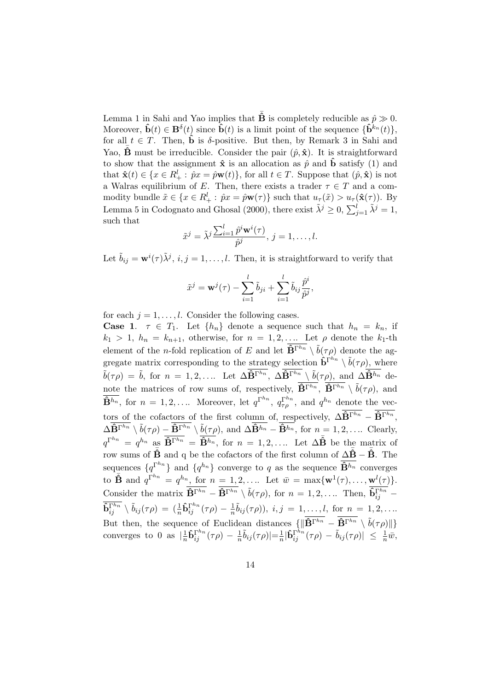Lemma 1 in Sahi and Yao implies that  $\hat{B}$  is completely reducible as  $\hat{p} \gg 0$ . Moreover,  $\mathbf{\hat{b}}(t) \in \mathbf{B}^{\delta}(t)$  since  $\mathbf{\hat{b}}(t)$  is a limit point of the sequence  $\{\mathbf{\hat{b}}^{k_n}(t)\},$ for all  $t \in T$ . Then,  $\hat{b}$  is  $\delta$ -positive. But then, by Remark 3 in Sahi and Yao,  $\hat{\mathbf{B}}$  must be irreducible. Consider the pair  $(\hat{p}, \hat{\mathbf{x}})$ . It is straightforward to show that the assignment  $\hat{\mathbf{x}}$  is an allocation as  $\hat{p}$  and  $\hat{\mathbf{b}}$  satisfy (1) and that  $\hat{\mathbf{x}}(t) \in \{x \in R_+^l : \hat{p}x = \hat{p}\mathbf{w}(t)\}\text{, for all } t \in T\text{. Suppose that } (\hat{p}, \hat{\mathbf{x}}) \text{ is not }$ a Walras equilibrium of E. Then, there exists a trader  $\tau \in T$  and a commodity bundle  $\tilde{x} \in \{x \in R_+^l : \hat{p}x = \hat{p}\mathbf{w}(\tau)\}\$  such that  $u_\tau(\tilde{x}) > u_\tau(\hat{\mathbf{x}}(\tau))$ . By Lemma 5 in Codognato and Ghosal (2000), there exist  $\tilde{\lambda}^j \geq 0$ ,  $\sum_{j=1}^l \tilde{\lambda}^j = 1$ , such that  $\overline{\phantom{a}}^l$ 

$$
\tilde{x}^j = \tilde{\lambda}^j \frac{\sum_{i=1}^l \hat{p}^i \mathbf{w}^i(\tau)}{\hat{p}^j}, \ j = 1, \dots, l.
$$

Let  $\tilde{b}_{ij} = \mathbf{w}^i(\tau) \tilde{\lambda}^j$ ,  $i, j = 1, \ldots, l$ . Then, it is straightforward to verify that

$$
\tilde{x}^j = \mathbf{w}^j(\tau) - \sum_{i=1}^l \tilde{b}_{ji} + \sum_{i=1}^l \tilde{b}_{ij} \frac{\hat{p}^i}{\hat{p}^j},
$$

for each  $j = 1, \ldots, l$ . Consider the following cases.

**Case 1.**  $\tau \in T_1$ . Let  $\{h_n\}$  denote a sequence such that  $h_n = k_n$ , if  $k_1 > 1$ ,  $h_n = k_{n+1}$ , otherwise, for  $n = 1, 2, \ldots$  Let  $\rho$  denote the  $k_1$ -th element of the *n*-fold replication of E and let  $\overline{\mathbf{\hat{B}}^{\Gamma^{h_n}}}\setminus \tilde{b}(\tau\rho)$  denote the aggregate matrix corresponding to the strategy selection  $\hat{\mathbf{b}}^{\Gamma^{h_n}} \setminus \tilde{b}(\tau \rho)$ , where  $\tilde{b}(\tau\rho) = \tilde{b}$ , for  $n = 1, 2, \ldots$  Let  $\Delta \widehat{\mathbf{B}}^{\Gamma^{h_n}}$ ,  $\Delta \widehat{\mathbf{B}}^{\Gamma^{h_n}} \setminus \tilde{b}(\tau\rho)$ , and  $\Delta \widehat{\mathbf{B}}^{h_n}$  denote the matrices of row sums of, respectively,  $\overline{\mathbf{\hat{B}}^{\Gamma^{h_n}}}$ ,  $\overline{\mathbf{\hat{B}}^{\Gamma^{h_n}}} \setminus \tilde{b}(\tau \rho)$ , and  $\hat{\mathbf{B}}^{h_n}$ , for  $n = 1, 2, \ldots$  Moreover, let  $q^{\Gamma^{h_n}}$ ,  $q^{\Gamma^{h_n}}_{\tau \rho}$ , and  $q^{h_n}$  denote the vectors of the cofactors of the first column of, respectively,  $\Delta \widehat{\mathbf{B}}^{\Gamma^{h_n}} - \widehat{\mathbf{B}}^{\Gamma^{h_n}}$ ,  $\Delta \overline{\hat{\mathbf{B}}^{\Gamma h_n}} \setminus \tilde{b}(\tau \rho) - \overline{\hat{\mathbf{B}}^{\Gamma h_n}} \setminus \tilde{b}(\tau \rho)$ , and  $\Delta \overline{\hat{\mathbf{B}}^{h_n}} - \overline{\hat{\mathbf{B}}^{h_n}}$ , for  $n = 1, 2, \dots$  Clearly,  $q^{\Gamma^{h_n}} = q^{h_n}$  as  $\overline{\mathbf{\hat{B}}^{\Gamma^{h_n}}} = \overline{\mathbf{\hat{B}}^{h_n}}$ , for  $n = 1, 2, \dots$  Let  $\Delta \overline{\mathbf{\hat{B}}}$  be the matrix of row sums of  $\bar{\mathbf{\hat{B}}}$  and q be the cofactors of the first column of  $\Delta\bar{\mathbf{\hat{B}}}-\bar{\mathbf{\hat{B}}}$ . The sequences  $\{q^{\Gamma^{h_n}}\}$  and  $\{q^{h_n}\}$  converge to q as the sequence  $\overline{\mathbf{\hat{B}}^{h_n}}$  converges to  $\overline{\mathbf{B}}$  and  $q^{\Gamma^{h_n}} = q^{h_n}$ , for  $n = 1, 2, \ldots$  Let  $\overline{w} = \max\{\mathbf{w}^1(\tau), \ldots, \mathbf{w}^l(\tau)\}.$ Consider the matrix  $\overline{\mathbf{\hat{B}}^{\Gamma^{h_n}}} - \overline{\mathbf{\hat{B}}^{\Gamma^{h_n}}} \setminus \tilde{b}(\tau \rho)$ , for  $n = 1, 2, \ldots$  Then,  $\overline{\mathbf{\hat{b}}^{\Gamma^{h_n}}_{ij}}$  $\overline{\hat{\mathbf{b}}_{ij}^{\Gamma^{hn}}}\setminus \tilde{b}_{ij}(\tau\rho) \,=\, (\frac{1}{n}\hat{\mathbf{b}}_{ij}^{\Gamma^{hn}}(\tau\rho) - \frac{1}{n}$  $\frac{1}{n}\tilde{b}_{ij}(\tau\rho)$ ,  $i, j = 1, \ldots, l$ , for  $n = 1, 2, \ldots$ But then, the sequence of Euclidean distances  $\{\|\widehat{\mathbf{B}}^{\Gamma^{h_n}} - \widehat{\mathbf{B}}^{\Gamma^{h_n}} \setminus \widetilde{b}(\tau\rho)\}\$ converges to 0 as  $\frac{1}{n}$  $\frac{1}{n} \mathbf{\hat{b}}_{ij}^{\Gamma^{hn}}(\tau\rho)\,-\,\frac{1}{n}$  $\frac{1}{n}\tilde{b}_{ij}(\tau\rho)| = \frac{1}{n}$  $\frac{1}{n}|\mathbf{\hat{b}}_{ij}^{\Gamma^{h_n}}(\tau\rho)-\tilde{b}_{ij}(\tau\rho)|\ \leq\ \frac{1}{n}\bar{w},$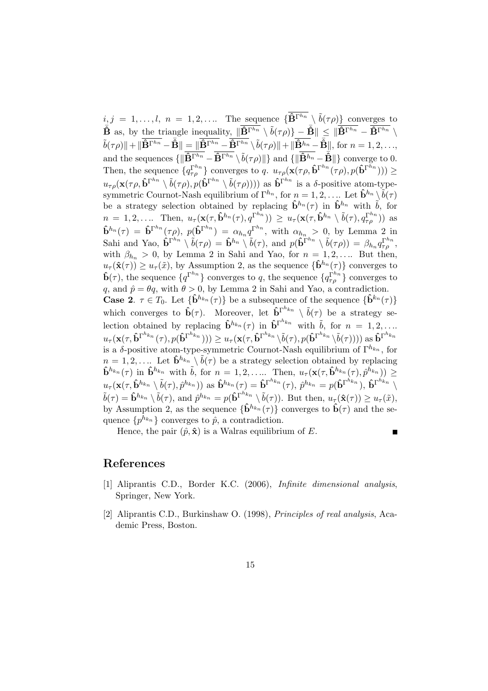$i, j = 1, \ldots, l, n = 1, 2, \ldots$  The sequence  $\{\overline{\mathbf{B}}^{\Gamma^{h_n}} \setminus \tilde{b}(\tau \rho)\}\)$  converges to  $\overline{\mathbf{\hat{B}}}$  as, by the triangle inequality,  $\|\overline{\mathbf{\hat{B}}^{\Gamma h_n}} \setminus \tilde{b}(\tau \rho)\} - \overline{\mathbf{\hat{B}}} \| \leq \|\overline{\mathbf{\hat{B}}^{\Gamma h_n}} - \overline{\mathbf{\hat{B}}^{\Gamma h_n}}\rangle$  $\tilde{b}(\tau \rho) \| + \| \overline{\mathbf{\hat{B}}^{\Gamma^{h_n}}} - \overline{\mathbf{\hat{B}}} \| = \| \overline{\mathbf{\hat{B}}^{\Gamma^{h_n}}} - \overline{\mathbf{\hat{B}}^{\Gamma^{h_n}}} \setminus \tilde{b}(\tau \rho) \| + \| \overline{\mathbf{\hat{B}}^{h_n}} - \overline{\mathbf{\hat{B}}} \|$ , for  $n = 1, 2, \ldots$ , and the sequences  $\{\|\widehat{\mathbf{B}}^{\Gamma^{h_n}} - \widehat{\mathbf{B}}^{\Gamma^{h_n}}\setminus \widetilde{b}(\tau\rho)\|\}$  and  $\{\|\widehat{\mathbf{B}}^{h_n} - \widehat{\mathbf{B}}\|\}$  converge to 0. Then, the sequence  $\{q_{\tau\rho}^{\Gamma^{h_n}}\}$  converges to q.  $u_{\tau\rho}(\mathbf{x}(\tau\rho, \hat{\mathbf{b}}^{\Gamma^{h_n}}(\tau\rho), p(\hat{\mathbf{b}}^{\Gamma^{h_n}}))) \geq$  $u_{\tau\rho}(\mathbf{x}(\tau\rho, \mathbf{\hat{b}}^{\Gamma^{h_n}} \setminus \tilde{b}(\tau\rho), p(\mathbf{\hat{b}}^{\Gamma^{h_n}} \setminus \tilde{b}(\tau\rho))))$  as  $\mathbf{\hat{b}}^{\Gamma^{h_n}}$  is a  $\delta$ -positive atom-typesymmetric Cournot-Nash equilibrium of  $\Gamma^{h_n}$ , for  $n = 1, 2, \ldots$  Let  $\hat{\mathbf{b}}^{h_n} \setminus \tilde{\hat{b}}(\tau)$ be a strategy selection obtained by replacing  $\hat{\mathbf{b}}^{h_n}(\tau)$  in  $\hat{\mathbf{b}}^{h_n}$  with  $\tilde{b}$ , for  $n = 1, 2, \ldots$  Then,  $u_\tau(\mathbf{x}(\tau, \hat{\mathbf{b}}^{h_n}(\tau), q^{\Gamma^{h_n}})) \geq u_\tau(\mathbf{x}(\tau, \hat{\mathbf{b}}^{h_n} \setminus \tilde{b}(\tau), q^{\Gamma^{h_n}}_{\tau \rho}))$  as  $\mathbf{\hat{b}}^{h_n}(\tau) = \mathbf{\hat{b}}^{\Gamma^{h_n}}(\tau \rho), \ p(\mathbf{\hat{b}}^{\Gamma^{h_n}}) = \alpha_{h_n} q^{\Gamma^{h_n}}, \text{ with } \alpha_{h_n} > 0, \text{ by Lemma 2 in}$ Sahi and Yao,  $\mathbf{\hat{b}}^{\Gamma^{h_n}} \setminus \tilde{b}(\tau \rho) = \mathbf{\hat{b}}^{h_n} \setminus \tilde{b}(\tau)$ , and  $p(\mathbf{\hat{b}}^{\Gamma^{h_n}} \setminus \tilde{b}(\tau \rho)) = \beta_{h_n} q_{\tau \rho}^{\Gamma^{h_n}}$ , with  $\beta_{h_n} > 0$ , by Lemma 2 in Sahi and Yao, for  $n = 1, 2, \ldots$  But then,  $u_{\tau}(\hat{\mathbf{x}}(\tau)) \geq u_{\tau}(\tilde{x})$ , by Assumption 2, as the sequence  $\{\hat{\mathbf{b}}^{h_n}(\tau)\}\)$  converges to  $\hat{\mathbf{b}}(\tau)$ , the sequence  $\{q^{\Gamma^{hn}}\}$  converges to q, the sequence  $\{q^{\Gamma^{hn}}_{\tau\rho}\}$  converges to q, and  $\hat{p} = \theta q$ , with  $\theta > 0$ , by Lemma 2 in Sahi and Yao, a contradiction. **Case 2.**  $\tau \in T_0$ . Let  $\{\hat{\mathbf{b}}^{h_{k_n}}(\tau)\}\$ be a subsequence of the sequence  $\{\hat{\mathbf{b}}^{k_n}(\tau)\}\$ which converges to  $\hat{\mathbf{b}}(\tau)$ . Moreover, let  $\hat{\mathbf{b}}^{\Gamma^{h_{k_n}}} \setminus \tilde{\mathbf{b}}(\tau)$  be a strategy selection obtained by replacing  $\hat{\mathbf{b}}^{h_{kn}}(\tau)$  in  $\hat{\mathbf{b}}^{\Gamma^{h_{kn}}}$  with  $\tilde{b}$ , for  $n = 1, 2, \ldots$  $u_\tau(\mathbf{x}(\tau, \mathbf{\hat{b}}^{\Gamma^{h_{k_n}}}(\tau), p(\mathbf{\hat{b}}^{\Gamma^{h_{k_n}}}))) \geq u_\tau(\mathbf{x}(\tau, \mathbf{\hat{b}}^{\Gamma^{h_{k_n}}}\backslash\tilde{b}(\tau), p(\mathbf{\hat{b}}^{\Gamma^{h_{k_n}}}\backslash\tilde{b}(\tau)))) \text{ as } \mathbf{\hat{b}}^{\Gamma^{h_{k_n}}}$ is a δ-positive atom-type-symmetric Cournot-Nash equilibrium of  $\Gamma^{h_{k_n}}$ , for  $n=1,2,...$  Let  $\hat{\mathbf{b}}^{h_{k_n}} \setminus \tilde{b}(\tau)$  be a strategy selection obtained by replacing  $\mathbf{\hat{b}}^{h_{k_n}}(\tau)$  in  $\mathbf{\hat{b}}^{h_{k_n}}$  with  $\tilde{b}$ , for  $n = 1, 2, \ldots$  Then,  $u_\tau(\mathbf{x}(\tau, \mathbf{\hat{b}}^{h_{k_n}}(\tau), \hat{p}^{h_{k_n}})) \geq$  $u_\tau(\mathbf{x}(\tau, \hat{\mathbf{b}}^{h_{k_n}} \setminus \tilde{b}(\tau), \hat{p}^{h_{k_n}})) \text{ as } \hat{\mathbf{b}}^{h_{k_n}}(\tau) = \hat{\mathbf{b}}^{\Gamma^{h_{k_n}}}(\tau), \, \hat{p}^{h_{k_n}} = p(\hat{\mathbf{b}}^{\Gamma^{h_{k_n}}}), \, \hat{\mathbf{b}}^{\Gamma^{h_{k_n}}} \setminus$  $\tilde{b}(\tau) = \hat{\mathbf{b}}^{h_{k_n}} \setminus \tilde{b}(\tau)$ , and  $\hat{p}^{h_{k_n}} = p(\hat{\mathbf{b}}^{\Gamma^{h_{k_n}}}\setminus \tilde{b}(\tau))$ . But then,  $u_{\tau}(\hat{\mathbf{x}}(\tau)) \geq u_{\tau}(\tilde{x})$ , by Assumption 2, as the sequence  $\{\hat{\mathbf{b}}^{h_{k_n}}(\tau)\}\)$  converges to  $\hat{\mathbf{b}}(\tau)\$  and the sequence  $\{p^{h_{k_n}}\}$  converges to  $\hat{p}$ , a contradiction.

Hence, the pair  $(\hat{p}, \hat{\mathbf{x}})$  is a Walras equilibrium of E.

### П

## References

- [1] Aliprantis C.D., Border K.C. (2006), Infinite dimensional analysis, Springer, New York.
- [2] Aliprantis C.D., Burkinshaw O. (1998), Principles of real analysis, Academic Press, Boston.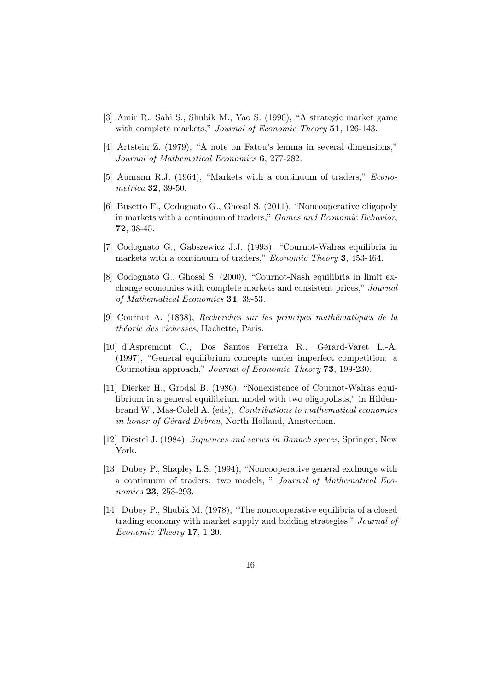- [3] Amir R., Sahi S., Shubik M., Yao S. (1990), "A strategic market game with complete markets," Journal of Economic Theory 51, 126-143.
- [4] Artstein Z. (1979), "A note on Fatou's lemma in several dimensions," Journal of Mathematical Economics 6, 277-282.
- [5] Aumann R.J. (1964), "Markets with a continuum of traders," Econometrica 32, 39-50.
- [6] Busetto F., Codognato G., Ghosal S. (2011), "Noncooperative oligopoly in markets with a continuum of traders," Games and Economic Behavior, 72, 38-45.
- [7] Codognato G., Gabszewicz J.J. (1993), "Cournot-Walras equilibria in markets with a continuum of traders," *Economic Theory* 3, 453-464.
- [8] Codognato G., Ghosal S. (2000), "Cournot-Nash equilibria in limit exchange economies with complete markets and consistent prices," Journal of Mathematical Economics 34, 39-53.
- [9] Cournot A. (1838), Recherches sur les principes mathématiques de la théorie des richesses, Hachette, Paris.
- [10] d'Aspremont C., Dos Santos Ferreira R., Gérard-Varet L.-A. (1997), "General equilibrium concepts under imperfect competition: a Cournotian approach," Journal of Economic Theory 73, 199-230.
- [11] Dierker H., Grodal B. (1986), "Nonexistence of Cournot-Walras equilibrium in a general equilibrium model with two oligopolists," in Hildenbrand W., Mas-Colell A. (eds), Contributions to mathematical economics in honor of Gérard Debreu, North-Holland, Amsterdam.
- [12] Diestel J. (1984), Sequences and series in Banach spaces, Springer, New York.
- [13] Dubey P., Shapley L.S. (1994), "Noncooperative general exchange with a continuum of traders: two models, " Journal of Mathematical Economics 23, 253-293.
- [14] Dubey P., Shubik M. (1978), "The noncooperative equilibria of a closed trading economy with market supply and bidding strategies," Journal of Economic Theory 17, 1-20.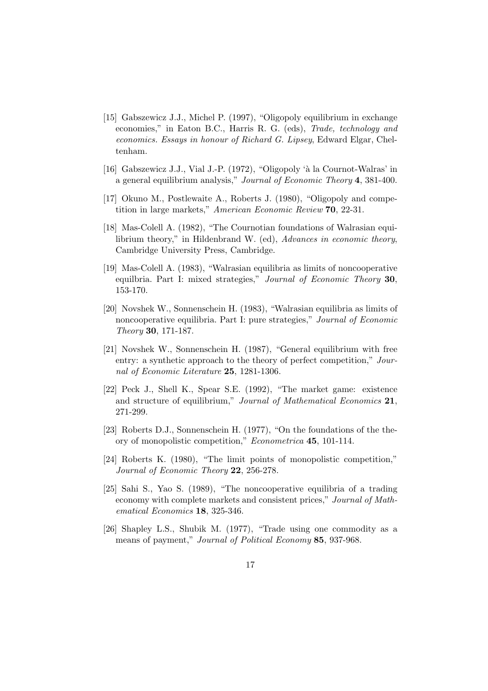- [15] Gabszewicz J.J., Michel P. (1997), "Oligopoly equilibrium in exchange economies," in Eaton B.C., Harris R. G. (eds), Trade, technology and economics. Essays in honour of Richard G. Lipsey, Edward Elgar, Cheltenham.
- [16] Gabszewicz J.J., Vial J.-P. (1972), "Oligopoly 'à la Cournot-Walras' in a general equilibrium analysis," Journal of Economic Theory 4, 381-400.
- [17] Okuno M., Postlewaite A., Roberts J. (1980), "Oligopoly and competition in large markets," American Economic Review 70, 22-31.
- [18] Mas-Colell A. (1982), "The Cournotian foundations of Walrasian equilibrium theory," in Hildenbrand W. (ed), Advances in economic theory, Cambridge University Press, Cambridge.
- [19] Mas-Colell A. (1983), "Walrasian equilibria as limits of noncooperative equilbria. Part I: mixed strategies," Journal of Economic Theory 30, 153-170.
- [20] Novshek W., Sonnenschein H. (1983), "Walrasian equilibria as limits of noncooperative equilibria. Part I: pure strategies," Journal of Economic Theory 30, 171-187.
- [21] Novshek W., Sonnenschein H. (1987), "General equilibrium with free entry: a synthetic approach to the theory of perfect competition," Journal of Economic Literature 25, 1281-1306.
- [22] Peck J., Shell K., Spear S.E. (1992), "The market game: existence and structure of equilibrium," Journal of Mathematical Economics 21, 271-299.
- [23] Roberts D.J., Sonnenschein H. (1977), "On the foundations of the theory of monopolistic competition," Econometrica 45, 101-114.
- [24] Roberts K. (1980), "The limit points of monopolistic competition," Journal of Economic Theory 22, 256-278.
- [25] Sahi S., Yao S. (1989), "The noncooperative equilibria of a trading economy with complete markets and consistent prices," Journal of Mathematical Economics 18, 325-346.
- [26] Shapley L.S., Shubik M. (1977), "Trade using one commodity as a means of payment," *Journal of Political Economy* 85, 937-968.